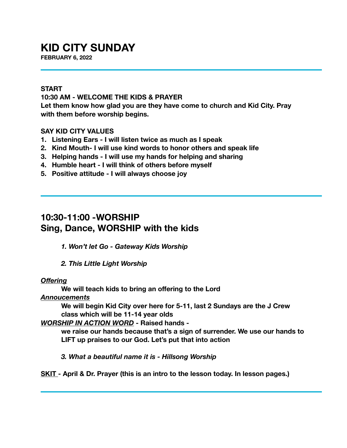# **KID CITY SUNDAY**

**FEBRUARY 6, 2022**

#### **START**

### **10:30 AM - WELCOME THE KIDS & PRAYER**

**Let them know how glad you are they have come to church and Kid City. Pray with them before worship begins.** 

### **SAY KID CITY VALUES**

- **1. Listening Ears I will listen twice as much as I speak**
- **2. Kind Mouth- I will use kind words to honor others and speak life**
- **3. Helping hands I will use my hands for helping and sharing**
- **4. Humble heart I will think of others before myself**
- **5. Positive attitude I will always choose joy**

### **10:30-11:00 -WORSHIP Sing, Dance, WORSHIP with the kids**

*1. Won't let Go - Gateway Kids Worship* 

*2. This Little Light Worship* 

#### *Offering*

**We will teach kids to bring an offering to the Lord** 

*Annoucements* 

**We will begin Kid City over here for 5-11, last 2 Sundays are the J Crew class which will be 11-14 year olds** 

#### *WORSHIP IN ACTION WORD* **- Raised hands -**

**we raise our hands because that's a sign of surrender. We use our hands to LIFT up praises to our God. Let's put that into action** 

*3. What a beautiful name it is - Hillsong Worship* 

**SKIT - April & Dr. Prayer (this is an intro to the lesson today. In lesson pages.)**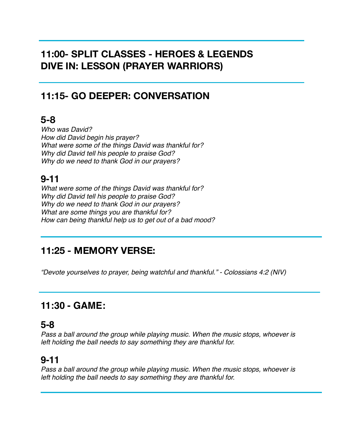# **11:00- SPLIT CLASSES - HEROES & LEGENDS DIVE IN: LESSON (PRAYER WARRIORS)**

## **11:15- GO DEEPER: CONVERSATION**

## **5-8**

*Who was David? How did David begin his prayer? What were some of the things David was thankful for? Why did David tell his people to praise God? Why do we need to thank God in our prayers?* 

# **9-11**

*What were some of the things David was thankful for? Why did David tell his people to praise God? Why do we need to thank God in our prayers? What are some things you are thankful for? How can being thankful help us to get out of a bad mood?*

## **11:25 - MEMORY VERSE:**

*"Devote yourselves to prayer, being watchful and thankful." - Colossians 4:2 (NIV)* 

## **11:30 - GAME:**

### **5-8**

*Pass a ball around the group while playing music. When the music stops, whoever is left holding the ball needs to say something they are thankful for.* 

### **9-11**

*Pass a ball around the group while playing music. When the music stops, whoever is left holding the ball needs to say something they are thankful for.*